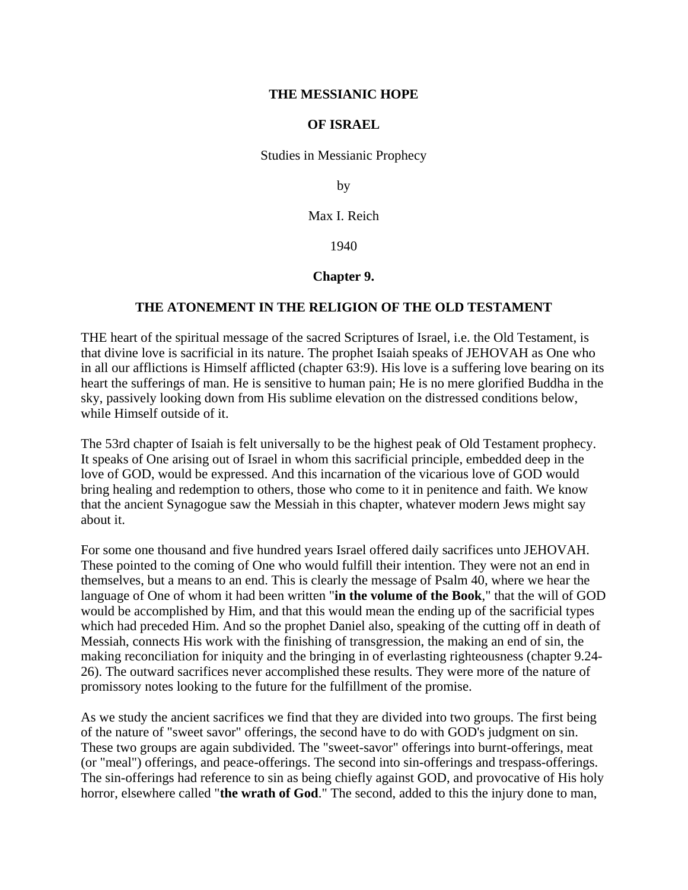## **THE MESSIANIC HOPE**

## **OF ISRAEL**

Studies in Messianic Prophecy

by

Max I. Reich

1940

## **Chapter 9.**

## **THE ATONEMENT IN THE RELIGION OF THE OLD TESTAMENT**

THE heart of the spiritual message of the sacred Scriptures of Israel, i.e. the Old Testament, is that divine love is sacrificial in its nature. The prophet Isaiah speaks of JEHOVAH as One who in all our afflictions is Himself afflicted (chapter 63:9). His love is a suffering love bearing on its heart the sufferings of man. He is sensitive to human pain; He is no mere glorified Buddha in the sky, passively looking down from His sublime elevation on the distressed conditions below, while Himself outside of it.

The 53rd chapter of Isaiah is felt universally to be the highest peak of Old Testament prophecy. It speaks of One arising out of Israel in whom this sacrificial principle, embedded deep in the love of GOD, would be expressed. And this incarnation of the vicarious love of GOD would bring healing and redemption to others, those who come to it in penitence and faith. We know that the ancient Synagogue saw the Messiah in this chapter, whatever modern Jews might say about it.

For some one thousand and five hundred years Israel offered daily sacrifices unto JEHOVAH. These pointed to the coming of One who would fulfill their intention. They were not an end in themselves, but a means to an end. This is clearly the message of Psalm 40, where we hear the language of One of whom it had been written "**in the volume of the Book**," that the will of GOD would be accomplished by Him, and that this would mean the ending up of the sacrificial types which had preceded Him. And so the prophet Daniel also, speaking of the cutting off in death of Messiah, connects His work with the finishing of transgression, the making an end of sin, the making reconciliation for iniquity and the bringing in of everlasting righteousness (chapter 9.24- 26). The outward sacrifices never accomplished these results. They were more of the nature of promissory notes looking to the future for the fulfillment of the promise.

As we study the ancient sacrifices we find that they are divided into two groups. The first being of the nature of "sweet savor" offerings, the second have to do with GOD's judgment on sin. These two groups are again subdivided. The "sweet-savor" offerings into burnt-offerings, meat (or "meal") offerings, and peace-offerings. The second into sin-offerings and trespass-offerings. The sin-offerings had reference to sin as being chiefly against GOD, and provocative of His holy horror, elsewhere called "**the wrath of God**." The second, added to this the injury done to man,